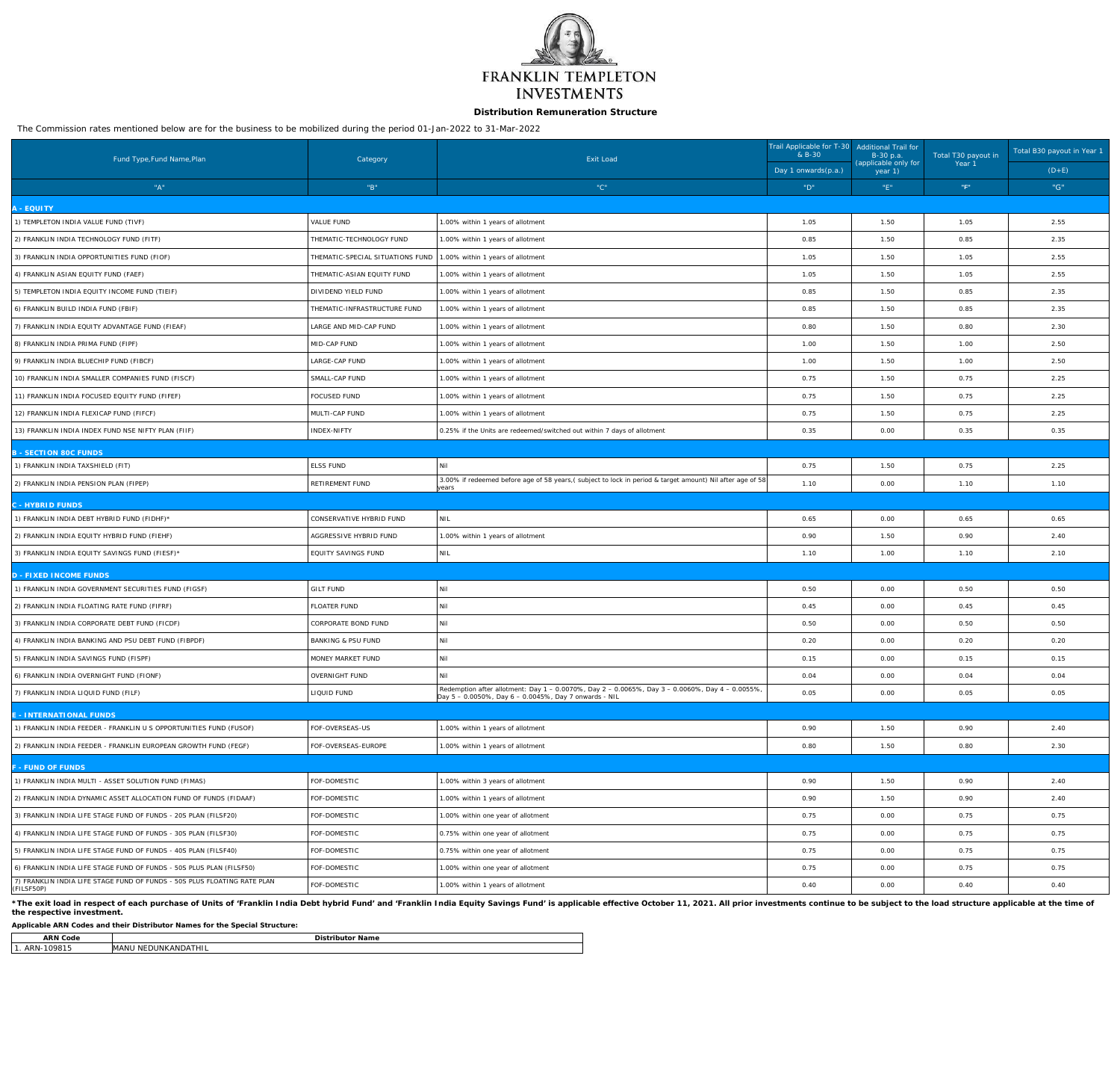

# **Distribution Remuneration Structure**

The Commission rates mentioned below are for the business to be mobilized during the period 01-Jan-2022 to 31-Mar-2022

| Fund Type, Fund Name, Plan                                                             | Category                               | <b>Exit Load</b>                                                                                                                                         | Trail Applicable for T-30 Additional Trail for<br>& B-30<br>B-30 p.a. |                                 | Total T30 payout in | Total B30 payout in Year 1 |
|----------------------------------------------------------------------------------------|----------------------------------------|----------------------------------------------------------------------------------------------------------------------------------------------------------|-----------------------------------------------------------------------|---------------------------------|---------------------|----------------------------|
|                                                                                        |                                        |                                                                                                                                                          | Day 1 onwards(p.a.)                                                   | (applicable only for<br>year 1) | Year 1              | $(D+E)$                    |
| "A"                                                                                    | $^{\circ\circ}\mathsf{B}^{\mathrm{u}}$ | "C"                                                                                                                                                      | $\ ^{\shortparallel }\mathbf{D}^{\shortparallel }\mathbf{.}$          | $"E"$                           | "F"                 | "G"                        |
| - EQUITY                                                                               |                                        |                                                                                                                                                          |                                                                       |                                 |                     |                            |
| 1) TEMPLETON INDIA VALUE FUND (TIVF)                                                   | VALUE FUND                             | 1.00% within 1 years of allotment                                                                                                                        | 1.05                                                                  | 1.50                            | 1.05                | 2.55                       |
| 2) FRANKLIN INDIA TECHNOLOGY FUND (FITF)                                               | THEMATIC-TECHNOLOGY FUND               | 1.00% within 1 years of allotment                                                                                                                        | 0.85                                                                  | 1.50                            | 0.85                | 2.35                       |
| 3) FRANKLIN INDIA OPPORTUNITIES FUND (FIOF)                                            | THEMATIC-SPECIAL SITUATIONS FUND       | 1.00% within 1 years of allotment                                                                                                                        | 1.05                                                                  | 1.50                            | 1.05                | 2.55                       |
| 4) FRANKLIN ASIAN EQUITY FUND (FAEF)                                                   | THEMATIC-ASIAN EQUITY FUND             | 1.00% within 1 years of allotment                                                                                                                        | 1.05                                                                  | 1.50                            | 1.05                | 2.55                       |
| 5) TEMPLETON INDIA EQUITY INCOME FUND (TIEIF)                                          | DIVIDEND YIELD FUND                    | 1.00% within 1 years of allotment                                                                                                                        | 0.85                                                                  | 1.50                            | 0.85                | 2.35                       |
| 6) FRANKLIN BUILD INDIA FUND (FBIF)                                                    | THEMATIC-INFRASTRUCTURE FUND           | 1.00% within 1 years of allotment                                                                                                                        | 0.85                                                                  | 1.50                            | 0.85                | 2.35                       |
| 7) FRANKLIN INDIA EQUITY ADVANTAGE FUND (FIEAF)                                        | LARGE AND MID-CAP FUND                 | 1.00% within 1 years of allotment                                                                                                                        | 0.80                                                                  | 1.50                            | 0.80                | 2.30                       |
| 8) FRANKLIN INDIA PRIMA FUND (FIPF)                                                    | MID-CAP FUND                           | 1.00% within 1 years of allotment                                                                                                                        | 1.00                                                                  | 1.50                            | 1.00                | 2.50                       |
| 9) FRANKLIN INDIA BLUECHIP FUND (FIBCF)                                                | LARGE-CAP FUND                         | 1.00% within 1 years of allotment                                                                                                                        | 1.00                                                                  | 1.50                            | 1.00                | 2.50                       |
| 10) FRANKLIN INDIA SMALLER COMPANIES FUND (FISCF)                                      | SMALL-CAP FUND                         | 1.00% within 1 years of allotment                                                                                                                        | 0.75                                                                  | 1.50                            | 0.75                | 2.25                       |
| 11) FRANKLIN INDIA FOCUSED EQUITY FUND (FIFEF)                                         | FOCUSED FUND                           | 1.00% within 1 years of allotment                                                                                                                        | 0.75                                                                  | 1.50                            | 0.75                | 2.25                       |
| 12) FRANKLIN INDIA FLEXICAP FUND (FIFCF)                                               | MULTI-CAP FUND                         | 1.00% within 1 years of allotment                                                                                                                        | 0.75                                                                  | 1.50                            | 0.75                | 2.25                       |
| 13) FRANKLIN INDIA INDEX FUND NSE NIFTY PLAN (FIIF)                                    | INDEX-NIFTY                            | 0.25% if the Units are redeemed/switched out within 7 days of allotment                                                                                  | 0.35                                                                  | 0.00                            | 0.35                | 0.35                       |
| - SECTION 80C FUNDS                                                                    |                                        |                                                                                                                                                          |                                                                       |                                 |                     |                            |
| 1) FRANKLIN INDIA TAXSHIELD (FIT)                                                      | <b>ELSS FUND</b>                       | Nil                                                                                                                                                      | 0.75                                                                  | 1.50                            | 0.75                | 2.25                       |
| 2) FRANKLIN INDIA PENSION PLAN (FIPEP)                                                 | RETIREMENT FUND                        | 3.00% if redeemed before age of 58 years, (subject to lock in period & target amount) Nil after age of 58<br><u>i</u> years                              | 1.10                                                                  | 0.00                            | 1.10                | 1.10                       |
| - HYBRID FUNDS                                                                         |                                        |                                                                                                                                                          |                                                                       |                                 |                     |                            |
| 1) FRANKLIN INDIA DEBT HYBRID FUND (FIDHF)*                                            | CONSERVATIVE HYBRID FUND               | NIL                                                                                                                                                      | 0.65                                                                  | 0.00                            | 0.65                | 0.65                       |
| 2) FRANKLIN INDIA EQUITY HYBRID FUND (FIEHF)                                           | AGGRESSIVE HYBRID FUND                 | 1.00% within 1 years of allotment                                                                                                                        | 0.90                                                                  | 1.50                            | 0.90                | 2.40                       |
| 3) FRANKLIN INDIA EQUITY SAVINGS FUND (FIESF)*                                         | EQUITY SAVINGS FUND                    | $\overline{\phantom{a}}$ NIL                                                                                                                             | 1.10                                                                  | 1.00                            | 1.10                | 2.10                       |
| - FIXED INCOME FUNDS                                                                   |                                        |                                                                                                                                                          |                                                                       |                                 |                     |                            |
| 1) FRANKLIN INDIA GOVERNMENT SECURITIES FUND (FIGSF)                                   | <b>GILT FUND</b>                       | Nil                                                                                                                                                      | 0.50                                                                  | 0.00                            | 0.50                | 0.50                       |
| 2) FRANKLIN INDIA FLOATING RATE FUND (FIFRF)                                           | <b>FLOATER FUND</b>                    | Nil                                                                                                                                                      | 0.45                                                                  | 0.00                            | 0.45                | 0.45                       |
| 3) FRANKLIN INDIA CORPORATE DEBT FUND (FICDF)                                          | CORPORATE BOND FUND                    | Nil                                                                                                                                                      | 0.50                                                                  | 0.00                            | 0.50                | 0.50                       |
| 4) FRANKLIN INDIA BANKING AND PSU DEBT FUND (FIBPDF)                                   | <b>BANKING &amp; PSU FUND</b>          | Nil                                                                                                                                                      | 0.20                                                                  | 0.00                            | 0.20                | 0.20                       |
| 5) FRANKLIN INDIA SAVINGS FUND (FISPF)                                                 | MONEY MARKET FUND                      | Nil                                                                                                                                                      | 0.15                                                                  | 0.00                            | 0.15                | 0.15                       |
| 6) FRANKLIN INDIA OVERNIGHT FUND (FIONF)                                               | OVERNIGHT FUND                         | Nil                                                                                                                                                      | 0.04                                                                  | 0.00                            | 0.04                | 0.04                       |
| 7) FRANKLIN INDIA LIQUID FUND (FILF)                                                   | LIQUID FUND                            | Redemption after allotment: Day 1 - 0.0070%, Day 2 - 0.0065%, Day 3 - 0.0060%, Day 4 - 0.0055%,<br>Day 5 - 0.0050%, Day 6 - 0.0045%, Day 7 onwards - NIL | 0.05                                                                  | 0.00                            | 0.05                | 0.05                       |
| - INTERNATIONAL FUNDS                                                                  |                                        |                                                                                                                                                          |                                                                       |                                 |                     |                            |
| 1) FRANKLIN INDIA FEEDER - FRANKLIN U S OPPORTUNITIES FUND (FUSOF)                     | FOF-OVERSEAS-US                        | 1.00% within 1 years of allotment                                                                                                                        | 0.90                                                                  | 1.50                            | 0.90                | 2.40                       |
| 2) FRANKLIN INDIA FEEDER - FRANKLIN EUROPEAN GROWTH FUND (FEGF)                        | FOF-OVERSEAS-EUROPE                    | 1.00% within 1 years of allotment                                                                                                                        | 0.80                                                                  | 1.50                            | 0.80                | 2.30                       |
| - FUND OF FUNDS                                                                        |                                        |                                                                                                                                                          |                                                                       |                                 |                     |                            |
| 1) FRANKLIN INDIA MULTI - ASSET SOLUTION FUND (FIMAS)                                  | FOF-DOMESTIC                           | 1.00% within 3 years of allotment                                                                                                                        | 0.90                                                                  | 1.50                            | 0.90                | 2.40                       |
| 2) FRANKLIN INDIA DYNAMIC ASSET ALLOCATION FUND OF FUNDS (FIDAAF)                      | FOF-DOMESTIC                           | 1.00% within 1 years of allotment                                                                                                                        | 0.90                                                                  | 1.50                            | 0.90                | 2.40                       |
| 3) FRANKLIN INDIA LIFE STAGE FUND OF FUNDS - 20S PLAN (FILSF20)                        | FOF-DOMESTIC                           | 1.00% within one year of allotment                                                                                                                       | 0.75                                                                  | 0.00                            | 0.75                | 0.75                       |
| 4) FRANKLIN INDIA LIFE STAGE FUND OF FUNDS - 30S PLAN (FILSF30)                        | FOF-DOMESTIC                           | 0.75% within one year of allotment                                                                                                                       | 0.75                                                                  | 0.00                            | 0.75                | 0.75                       |
| 5) FRANKLIN INDIA LIFE STAGE FUND OF FUNDS - 40S PLAN (FILSF40)                        | FOF-DOMESTIC                           | 0.75% within one year of allotment                                                                                                                       | 0.75                                                                  | 0.00                            | 0.75                | 0.75                       |
| $\mid$ 6) FRANKLIN INDIA LIFE STAGE FUND OF FUNDS - 50S PLUS PLAN (FILSF50)            | FOF-DOMESTIC                           | 1.00% within one year of allotment                                                                                                                       | 0.75                                                                  | 0.00                            | 0.75                | 0.75                       |
| 7) FRANKLIN INDIA LIFE STAGE FUND OF FUNDS - 50S PLUS FLOATING RATE PLAN<br>(FILSF50P) | FOF-DOMESTIC                           | 1.00% within 1 years of allotment                                                                                                                        | 0.40                                                                  | 0.00                            | 0.40                | 0.40                       |

\*The exit load in respect of each purchase of Units of 'Franklin India Debt hybrid Fund' and 'Franklin India Equity Savings Fund' is applicable effective October 11, 2021. All prior investments continue to be subject to th *the respective investment.*

**Applicable ARN Codes and their Distributor Names for the Special Structure:**

**ARN Code**<br>
1. ARN-109815 MANU NEDUNKANDATHIL MANU NEDUNKANDATHIL